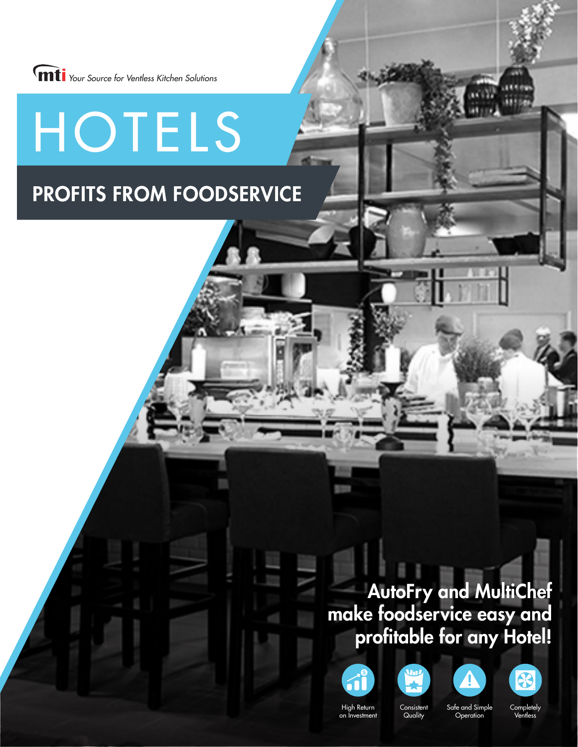

HOTELS

### PROFITS FROM FOODSERVICE

### AutoFry and MultiChef make foodservice easy and profitable for any Hotel!









High Return on Investment

**Consistent Quality** 

Safe and Simple **Operation** 

**Completely** Ventless